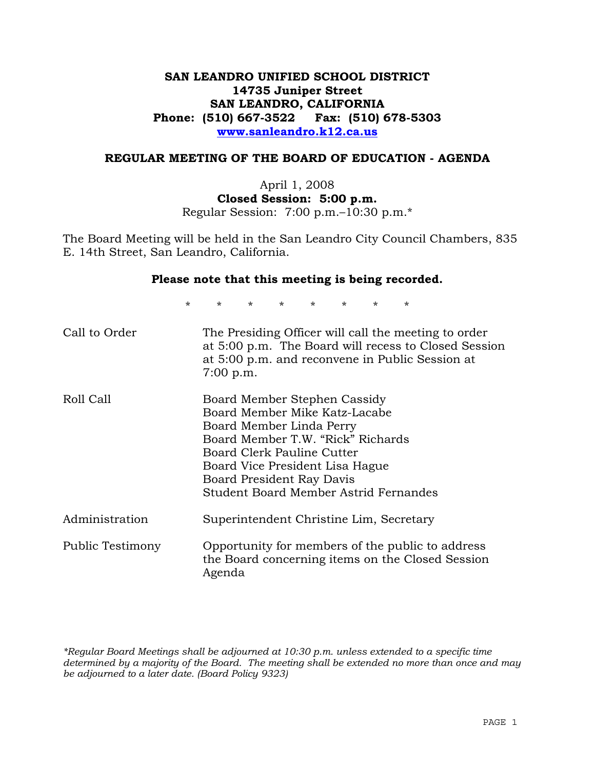# **SAN LEANDRO UNIFIED SCHOOL DISTRICT 14735 Juniper Street SAN LEANDRO, CALIFORNIA Phone: (510) 667-3522 Fax: (510) 678-5303 www.sanleandro.k12.ca.us**

## **REGULAR MEETING OF THE BOARD OF EDUCATION - AGENDA**

April 1, 2008 **Closed Session: 5:00 p.m.**  Regular Session: 7:00 p.m.–10:30 p.m.\*

The Board Meeting will be held in the San Leandro City Council Chambers, 835 E. 14th Street, San Leandro, California.

#### **Please note that this meeting is being recorded.**

\* \* \* \* \* \* \* \*

| Call to Order    | The Presiding Officer will call the meeting to order<br>at 5:00 p.m. The Board will recess to Closed Session<br>at 5:00 p.m. and reconvene in Public Session at<br>$7:00$ p.m.                                                                                        |
|------------------|-----------------------------------------------------------------------------------------------------------------------------------------------------------------------------------------------------------------------------------------------------------------------|
| Roll Call        | Board Member Stephen Cassidy<br>Board Member Mike Katz-Lacabe<br>Board Member Linda Perry<br>Board Member T.W. "Rick" Richards<br>Board Clerk Pauline Cutter<br>Board Vice President Lisa Hague<br>Board President Ray Davis<br>Student Board Member Astrid Fernandes |
| Administration   | Superintendent Christine Lim, Secretary                                                                                                                                                                                                                               |
| Public Testimony | Opportunity for members of the public to address<br>the Board concerning items on the Closed Session<br>Agenda                                                                                                                                                        |

*\*Regular Board Meetings shall be adjourned at 10:30 p.m. unless extended to a specific time determined by a majority of the Board. The meeting shall be extended no more than once and may be adjourned to a later date. (Board Policy 9323)*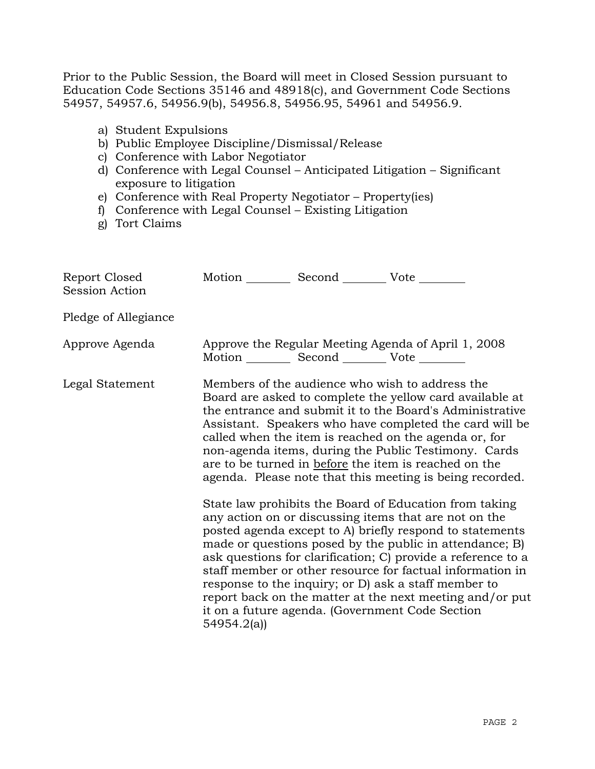Prior to the Public Session, the Board will meet in Closed Session pursuant to Education Code Sections 35146 and 48918(c), and Government Code Sections 54957, 54957.6, 54956.9(b), 54956.8, 54956.95, 54961 and 54956.9.

- a) Student Expulsions
- b) Public Employee Discipline/Dismissal/Release
- c) Conference with Labor Negotiator
- d) Conference with Legal Counsel Anticipated Litigation Significant exposure to litigation
- e) Conference with Real Property Negotiator Property(ies)
- f) Conference with Legal Counsel Existing Litigation
- g) Tort Claims

| Report Closed<br><b>Session Action</b> | Motion __________ Second __________ Vote ________     |                                                                                                                                                                                                                                                                                                                                                                                                                                                                                                                                                                                                                                                                                                                                                                                                                                                                                                                                                                                                                        |
|----------------------------------------|-------------------------------------------------------|------------------------------------------------------------------------------------------------------------------------------------------------------------------------------------------------------------------------------------------------------------------------------------------------------------------------------------------------------------------------------------------------------------------------------------------------------------------------------------------------------------------------------------------------------------------------------------------------------------------------------------------------------------------------------------------------------------------------------------------------------------------------------------------------------------------------------------------------------------------------------------------------------------------------------------------------------------------------------------------------------------------------|
| Pledge of Allegiance                   |                                                       |                                                                                                                                                                                                                                                                                                                                                                                                                                                                                                                                                                                                                                                                                                                                                                                                                                                                                                                                                                                                                        |
| Approve Agenda                         | Motion ___________ Second ____________ Vote _________ | Approve the Regular Meeting Agenda of April 1, 2008                                                                                                                                                                                                                                                                                                                                                                                                                                                                                                                                                                                                                                                                                                                                                                                                                                                                                                                                                                    |
| Legal Statement                        | 54954.2(a)                                            | Members of the audience who wish to address the<br>Board are asked to complete the yellow card available at<br>the entrance and submit it to the Board's Administrative<br>Assistant. Speakers who have completed the card will be<br>called when the item is reached on the agenda or, for<br>non-agenda items, during the Public Testimony. Cards<br>are to be turned in before the item is reached on the<br>agenda. Please note that this meeting is being recorded.<br>State law prohibits the Board of Education from taking<br>any action on or discussing items that are not on the<br>posted agenda except to A) briefly respond to statements<br>made or questions posed by the public in attendance; B)<br>ask questions for clarification; C) provide a reference to a<br>staff member or other resource for factual information in<br>response to the inquiry; or D) ask a staff member to<br>report back on the matter at the next meeting and/or put<br>it on a future agenda. (Government Code Section |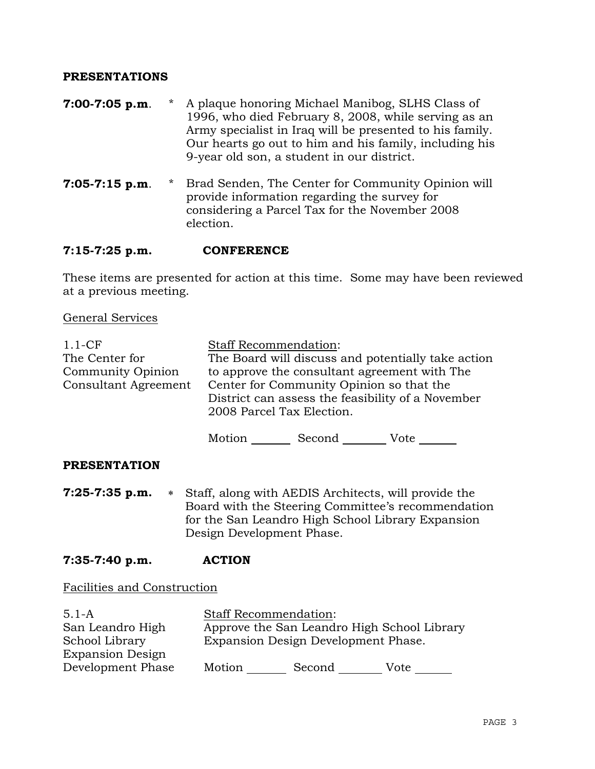## **PRESENTATIONS**

- **7:00-7:05 p.m**. \* A plaque honoring Michael Manibog, SLHS Class of 1996, who died February 8, 2008, while serving as an Army specialist in Iraq will be presented to his family. Our hearts go out to him and his family, including his 9-year old son, a student in our district.
- **7:05-7:15 p.m**. \* Brad Senden, The Center for Community Opinion will provide information regarding the survey for considering a Parcel Tax for the November 2008 election.

## **7:15-7:25 p.m. CONFERENCE**

These items are presented for action at this time. Some may have been reviewed at a previous meeting.

General Services

| $1.1-CF$                    | <b>Staff Recommendation:</b>                                                   |
|-----------------------------|--------------------------------------------------------------------------------|
| The Center for              | The Board will discuss and potentially take action                             |
| Community Opinion           | to approve the consultant agreement with The                                   |
| <b>Consultant Agreement</b> | Center for Community Opinion so that the                                       |
|                             | District can assess the feasibility of a November<br>2008 Parcel Tax Election. |
|                             | Motion<br>Second<br>Vote                                                       |

## **PRESENTATION**

- **7:25-7:35 p.m.** ∗ Staff, along with AEDIS Architects, will provide the Board with the Steering Committee's recommendation for the San Leandro High School Library Expansion Design Development Phase.
- **7:35-7:40 p.m. ACTION**

Facilities and Construction

| $5.1 - A$               | <b>Staff Recommendation:</b> |                                             |      |
|-------------------------|------------------------------|---------------------------------------------|------|
| San Leandro High        |                              | Approve the San Leandro High School Library |      |
| School Library          |                              | Expansion Design Development Phase.         |      |
| <b>Expansion Design</b> |                              |                                             |      |
| Development Phase       | Motion                       | Second                                      | Vote |
|                         |                              |                                             |      |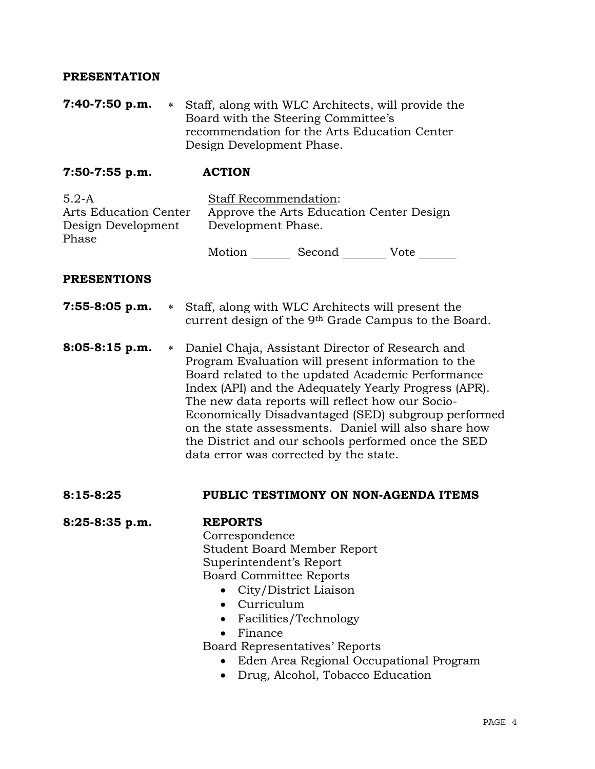## **PRESENTATION**

**7:40-7:50 p.m.** ∗ Staff, along with WLC Architects, will provide the Board with the Steering Committee's recommendation for the Arts Education Center Design Development Phase.

**7:50-7:55 p.m. ACTION** 

5.2-A Arts Education Center Design Development Phase Staff Recommendation: Approve the Arts Education Center Design Development Phase. Motion Second Vote

#### **PRESENTIONS**

| $7:55-8:05$ p.m. | * Staff, along with WLC Architects will present the              |
|------------------|------------------------------------------------------------------|
|                  | current design of the 9 <sup>th</sup> Grade Campus to the Board. |

**8:05-8:15 p.m.** ∗ Daniel Chaja, Assistant Director of Research and Program Evaluation will present information to the Board related to the updated Academic Performance Index (API) and the Adequately Yearly Progress (APR). The new data reports will reflect how our Socio-Economically Disadvantaged (SED) subgroup performed on the state assessments. Daniel will also share how the District and our schools performed once the SED data error was corrected by the state.

#### **8:15-8:25 PUBLIC TESTIMONY ON NON-AGENDA ITEMS**

**8:25-8:35 p.m. REPORTS**

 Correspondence Student Board Member Report Superintendent's Report Board Committee Reports

- City/District Liaison
- Curriculum
- Facilities/Technology
- Finance

Board Representatives' Reports

- Eden Area Regional Occupational Program
- Drug, Alcohol, Tobacco Education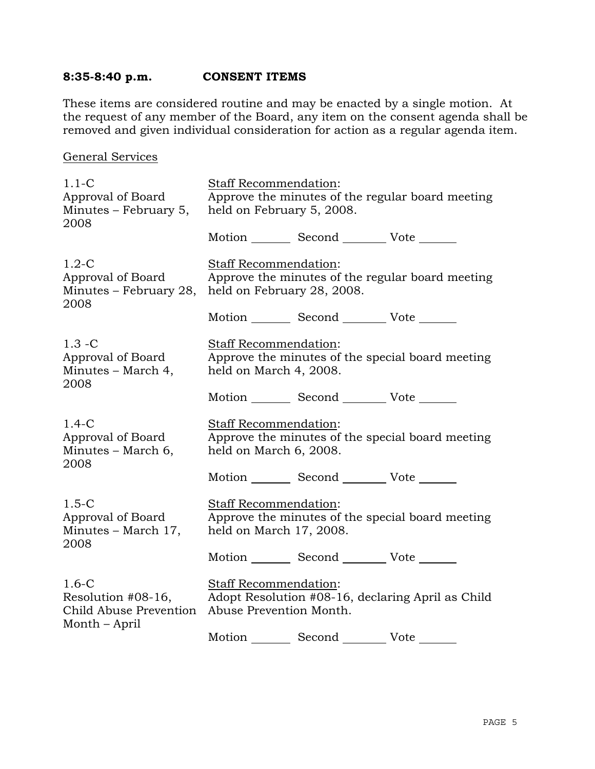# **8:35-8:40 p.m. CONSENT ITEMS**

These items are considered routine and may be enacted by a single motion. At the request of any member of the Board, any item on the consent agenda shall be removed and given individual consideration for action as a regular agenda item.

## General Services

| $1.1 - C$                                                                | <b>Staff Recommendation:</b>                                                  |                                                 |                                                   |
|--------------------------------------------------------------------------|-------------------------------------------------------------------------------|-------------------------------------------------|---------------------------------------------------|
| Approval of Board<br>Minutes – February 5,<br>2008                       | Approve the minutes of the regular board meeting<br>held on February 5, 2008. |                                                 |                                                   |
|                                                                          |                                                                               | Motion _________ Second _________ Vote _______  |                                                   |
| $1.2-C$<br>Approval of Board<br>Minutes - February 28,<br>2008           | <b>Staff Recommendation:</b><br>held on February 28, 2008.                    |                                                 | Approve the minutes of the regular board meeting  |
|                                                                          |                                                                               | Motion _________ Second __________ Vote _______ |                                                   |
| $1.3 - C$<br>Approval of Board<br>Minutes – March 4,<br>2008             | Staff Recommendation:<br>held on March 4, 2008.                               |                                                 | Approve the minutes of the special board meeting  |
|                                                                          |                                                                               | Motion Second Vote                              |                                                   |
| $1.4-C$<br>Approval of Board<br>Minutes – March 6,<br>2008               | <b>Staff Recommendation:</b><br>held on March 6, 2008.                        |                                                 | Approve the minutes of the special board meeting  |
|                                                                          |                                                                               | Motion _________ Second __________ Vote _______ |                                                   |
| $1.5 - C$<br>Approval of Board<br>Minutes - March 17,<br>2008            | <b>Staff Recommendation:</b><br>held on March 17, 2008.                       |                                                 | Approve the minutes of the special board meeting  |
|                                                                          |                                                                               | Motion _________ Second __________ Vote _______ |                                                   |
| $1.6-C$<br>Resolution #08-16,<br>Child Abuse Prevention<br>Month – April | <b>Staff Recommendation:</b><br>Abuse Prevention Month.                       |                                                 | Adopt Resolution #08-16, declaring April as Child |
|                                                                          |                                                                               | Motion _________ Second __________ Vote _______ |                                                   |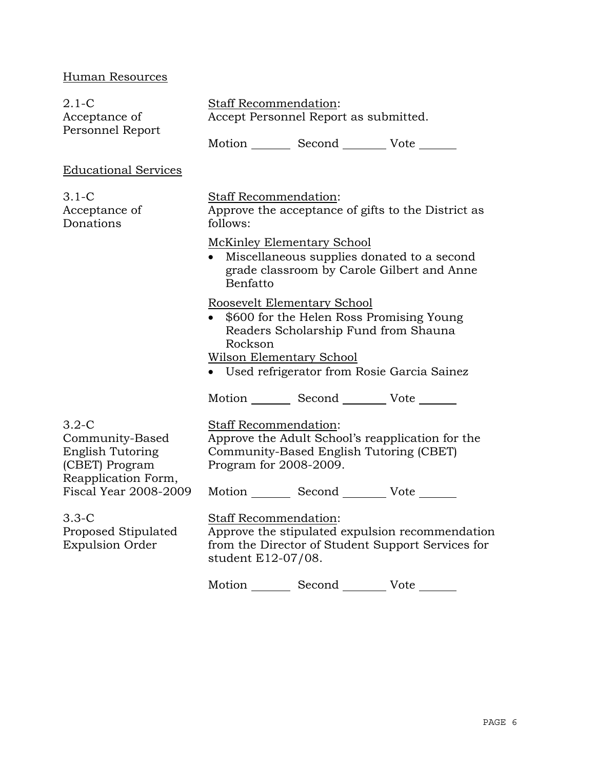# Human Resources

| $2.1 - C$<br>Acceptance of<br>Personnel Report                                                                                                                                             | Staff Recommendation:<br>Accept Personnel Report as submitted.                                                                                                                                         |  |  |
|--------------------------------------------------------------------------------------------------------------------------------------------------------------------------------------------|--------------------------------------------------------------------------------------------------------------------------------------------------------------------------------------------------------|--|--|
|                                                                                                                                                                                            | Motion _________ Second _________ Vote _______                                                                                                                                                         |  |  |
| <b>Educational Services</b>                                                                                                                                                                |                                                                                                                                                                                                        |  |  |
| $3.1-C$<br>Acceptance of<br>Donations                                                                                                                                                      | Staff Recommendation:<br>Approve the acceptance of gifts to the District as<br>follows:                                                                                                                |  |  |
|                                                                                                                                                                                            | <b>McKinley Elementary School</b><br>Miscellaneous supplies donated to a second<br>$\bullet$<br>grade classroom by Carole Gilbert and Anne<br>Benfatto                                                 |  |  |
|                                                                                                                                                                                            | Roosevelt Elementary School<br>\$600 for the Helen Ross Promising Young<br>Readers Scholarship Fund from Shauna<br>Rockson<br>Wilson Elementary School<br>• Used refrigerator from Rosie Garcia Sainez |  |  |
|                                                                                                                                                                                            | Motion _________ Second _________ Vote _______                                                                                                                                                         |  |  |
| $3.2-C$<br>Community-Based<br><b>English Tutoring</b><br>(CBET) Program<br>Reapplication Form,<br><b>Fiscal Year 2008-2009</b><br>$3.3-C$<br>Proposed Stipulated<br><b>Expulsion Order</b> | <b>Staff Recommendation:</b><br>Approve the Adult School's reapplication for the<br>Community-Based English Tutoring (CBET)<br>Program for 2008-2009.                                                  |  |  |
|                                                                                                                                                                                            | Motion _________ Second _________ Vote _______                                                                                                                                                         |  |  |
|                                                                                                                                                                                            | <b>Staff Recommendation:</b><br>Approve the stipulated expulsion recommendation<br>from the Director of Student Support Services for<br>student E12-07/08.                                             |  |  |
|                                                                                                                                                                                            | Motion Second Vote                                                                                                                                                                                     |  |  |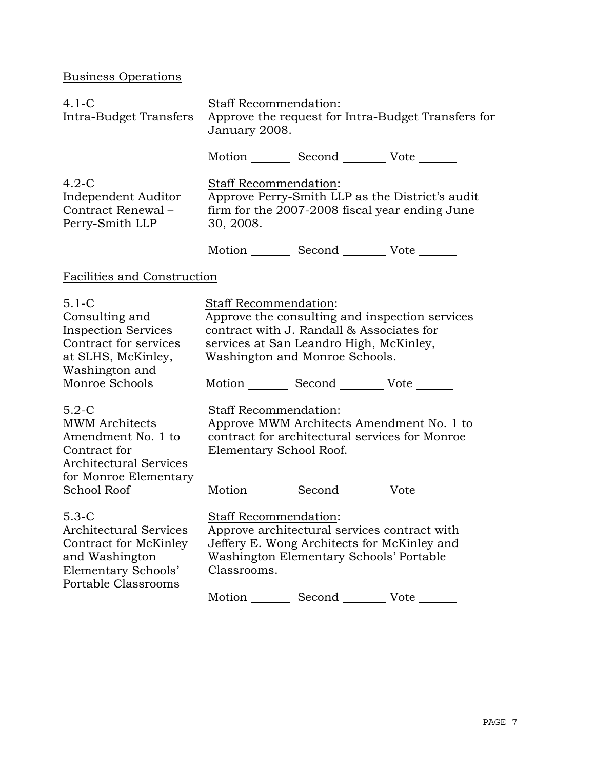Business Operations

| $4.1-C$<br>Intra-Budget Transfers                                                                                                               | Staff Recommendation:<br>Approve the request for Intra-Budget Transfers for<br>January 2008.                                                                                                                                                         |
|-------------------------------------------------------------------------------------------------------------------------------------------------|------------------------------------------------------------------------------------------------------------------------------------------------------------------------------------------------------------------------------------------------------|
|                                                                                                                                                 | Motion _________ Second __________ Vote _______                                                                                                                                                                                                      |
| $4.2-C$<br>Independent Auditor<br>Contract Renewal-<br>Perry-Smith LLP                                                                          | Staff Recommendation:<br>Approve Perry-Smith LLP as the District's audit<br>firm for the 2007-2008 fiscal year ending June<br>30, 2008.                                                                                                              |
|                                                                                                                                                 | Motion _________ Second __________ Vote _______                                                                                                                                                                                                      |
| <b>Facilities and Construction</b>                                                                                                              |                                                                                                                                                                                                                                                      |
| $5.1 - C$<br>Consulting and<br><b>Inspection Services</b><br>Contract for services<br>at SLHS, McKinley,<br>Washington and<br>Monroe Schools    | Staff Recommendation:<br>Approve the consulting and inspection services<br>contract with J. Randall & Associates for<br>services at San Leandro High, McKinley,<br>Washington and Monroe Schools.<br>Motion _________ Second __________ Vote _______ |
| $5.2-C$<br><b>MWM</b> Architects<br>Amendment No. 1 to<br>Contract for<br><b>Architectural Services</b><br>for Monroe Elementary<br>School Roof | Staff Recommendation:<br>Approve MWM Architects Amendment No. 1 to<br>contract for architectural services for Monroe<br>Elementary School Roof.<br>Motion Second Vote                                                                                |
| $5.3-C$<br><b>Architectural Services</b><br>Contract for McKinley<br>and Washington<br>Elementary Schools'<br>Portable Classrooms               | Staff Recommendation:<br>Approve architectural services contract with<br>Jeffery E. Wong Architects for McKinley and<br>Washington Elementary Schools' Portable<br>Classrooms.<br>Second<br>Motion<br>Vote                                           |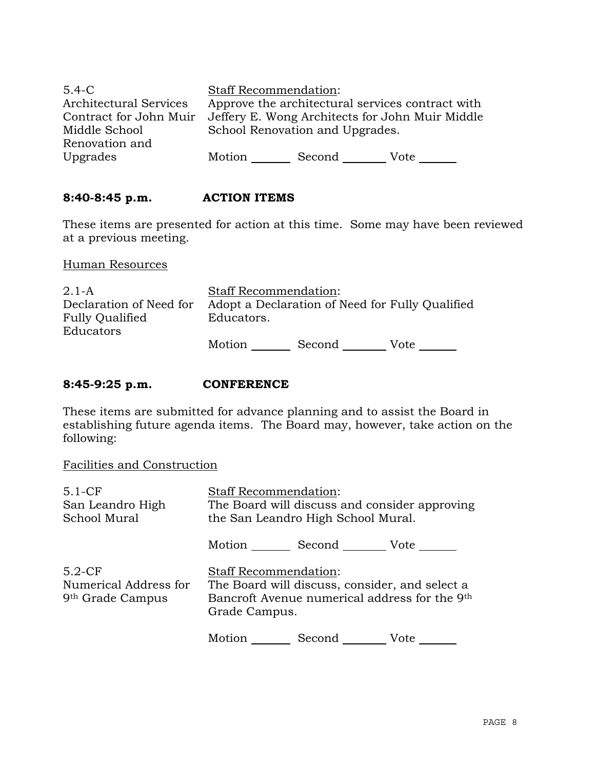| $5.4 - C$<br>Architectural Services     | <b>Staff Recommendation:</b> |                                 | Approve the architectural services contract with |
|-----------------------------------------|------------------------------|---------------------------------|--------------------------------------------------|
| Contract for John Muir<br>Middle School |                              | School Renovation and Upgrades. | Jeffery E. Wong Architects for John Muir Middle  |
| Renovation and<br>Upgrades              | Motion                       | Second                          | Vote                                             |

# **8:40-8:45 p.m. ACTION ITEMS**

These items are presented for action at this time. Some may have been reviewed at a previous meeting.

Human Resources

| $2.1-A$                 | <b>Staff Recommendation:</b> |        |                                                 |
|-------------------------|------------------------------|--------|-------------------------------------------------|
| Declaration of Need for |                              |        | Adopt a Declaration of Need for Fully Qualified |
| Fully Qualified         | Educators.                   |        |                                                 |
| Educators               |                              |        |                                                 |
|                         | Motion                       | Second | Vote                                            |

## **8:45-9:25 p.m. CONFERENCE**

These items are submitted for advance planning and to assist the Board in establishing future agenda items. The Board may, however, take action on the following:

Facilities and Construction

| $5.1-CF$<br>San Leandro High<br>School Mural                      | <b>Staff Recommendation:</b><br>The Board will discuss and consider approving<br>the San Leandro High School Mural.                              |
|-------------------------------------------------------------------|--------------------------------------------------------------------------------------------------------------------------------------------------|
|                                                                   | Motion<br>Second Vote                                                                                                                            |
| $5.2-CF$<br>Numerical Address for<br>9 <sup>th</sup> Grade Campus | <b>Staff Recommendation:</b><br>The Board will discuss, consider, and select a<br>Bancroft Avenue numerical address for the 9th<br>Grade Campus. |
|                                                                   | Motion<br>Second<br>Vote                                                                                                                         |